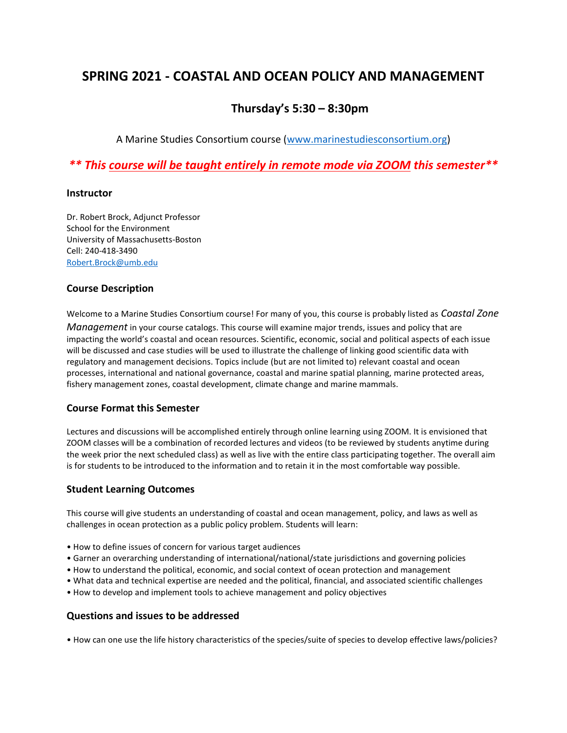# **SPRING 2021 - COASTAL AND OCEAN POLICY AND MANAGEMENT**

## **Thursday's 5:30 – 8:30pm**

A Marine Studies Consortium course [\(www.marinestudiesconsortium.org\)](http://www.marinestudiesconsortium.org/)

*\*\* This course will be taught entirely in remote mode via ZOOM this semester\*\**

#### **Instructor**

Dr. Robert Brock, Adjunct Professor School for the Environment University of Massachusetts-Boston Cell: 240-418-3490 [Robert.Brock@umb.edu](mailto:Robert.Brock@umb.edu)

## **Course Description**

Welcome to a Marine Studies Consortium course! For many of you, this course is probably listed as *Coastal Zone Management* in your course catalogs. This course will examine major trends, issues and policy that are impacting the world's coastal and ocean resources. Scientific, economic, social and political aspects of each issue will be discussed and case studies will be used to illustrate the challenge of linking good scientific data with regulatory and management decisions. Topics include (but are not limited to) relevant coastal and ocean processes, international and national governance, coastal and marine spatial planning, marine protected areas, fishery management zones, coastal development, climate change and marine mammals.

#### **Course Format this Semester**

Lectures and discussions will be accomplished entirely through online learning using ZOOM. It is envisioned that ZOOM classes will be a combination of recorded lectures and videos (to be reviewed by students anytime during the week prior the next scheduled class) as well as live with the entire class participating together. The overall aim is for students to be introduced to the information and to retain it in the most comfortable way possible.

## **Student Learning Outcomes**

This course will give students an understanding of coastal and ocean management, policy, and laws as well as challenges in ocean protection as a public policy problem. Students will learn:

- How to define issues of concern for various target audiences
- Garner an overarching understanding of international/national/state jurisdictions and governing policies
- How to understand the political, economic, and social context of ocean protection and management
- What data and technical expertise are needed and the political, financial, and associated scientific challenges
- How to develop and implement tools to achieve management and policy objectives

## **Questions and issues to be addressed**

• How can one use the life history characteristics of the species/suite of species to develop effective laws/policies?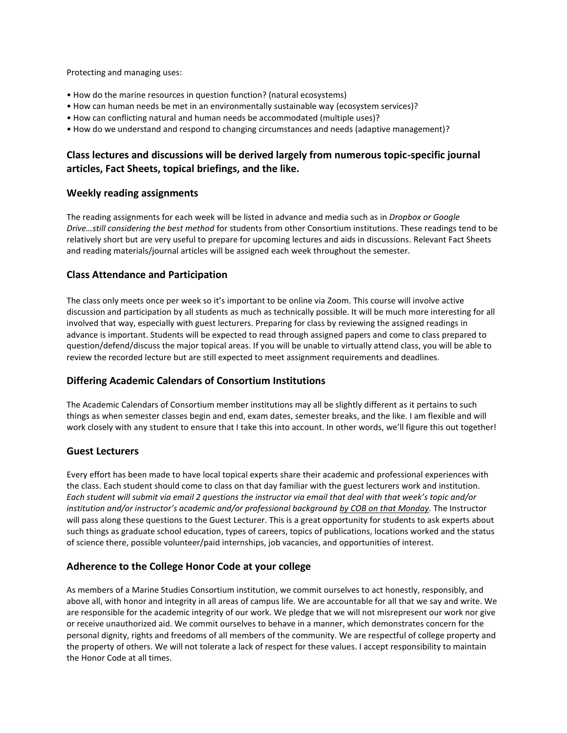Protecting and managing uses:

- How do the marine resources in question function? (natural ecosystems)
- How can human needs be met in an environmentally sustainable way (ecosystem services)?
- How can conflicting natural and human needs be accommodated (multiple uses)?
- How do we understand and respond to changing circumstances and needs (adaptive management)?

## **Class lectures and discussions will be derived largely from numerous topic-specific journal articles, Fact Sheets, topical briefings, and the like.**

## **Weekly reading assignments**

The reading assignments for each week will be listed in advance and media such as in *Dropbox or Google Drive…still considering the best method* for students from other Consortium institutions. These readings tend to be relatively short but are very useful to prepare for upcoming lectures and aids in discussions. Relevant Fact Sheets and reading materials/journal articles will be assigned each week throughout the semester.

## **Class Attendance and Participation**

The class only meets once per week so it's important to be online via Zoom. This course will involve active discussion and participation by all students as much as technically possible. It will be much more interesting for all involved that way, especially with guest lecturers. Preparing for class by reviewing the assigned readings in advance is important. Students will be expected to read through assigned papers and come to class prepared to question/defend/discuss the major topical areas. If you will be unable to virtually attend class, you will be able to review the recorded lecture but are still expected to meet assignment requirements and deadlines.

## **Differing Academic Calendars of Consortium Institutions**

The Academic Calendars of Consortium member institutions may all be slightly different as it pertains to such things as when semester classes begin and end, exam dates, semester breaks, and the like. I am flexible and will work closely with any student to ensure that I take this into account. In other words, we'll figure this out together!

## **Guest Lecturers**

Every effort has been made to have local topical experts share their academic and professional experiences with the class. Each student should come to class on that day familiar with the guest lecturers work and institution. *Each student will submit via email 2 questions the instructor via email that deal with that week's topic and/or institution and/or instructor's academic and/or professional background by COB on that Monday.* The Instructor will pass along these questions to the Guest Lecturer. This is a great opportunity for students to ask experts about such things as graduate school education, types of careers, topics of publications, locations worked and the status of science there, possible volunteer/paid internships, job vacancies, and opportunities of interest.

## **Adherence to the College Honor Code at your college**

As members of a Marine Studies Consortium institution, we commit ourselves to act honestly, responsibly, and above all, with honor and integrity in all areas of campus life. We are accountable for all that we say and write. We are responsible for the academic integrity of our work. We pledge that we will not misrepresent our work nor give or receive unauthorized aid. We commit ourselves to behave in a manner, which demonstrates concern for the personal dignity, rights and freedoms of all members of the community. We are respectful of college property and the property of others. We will not tolerate a lack of respect for these values. I accept responsibility to maintain the Honor Code at all times.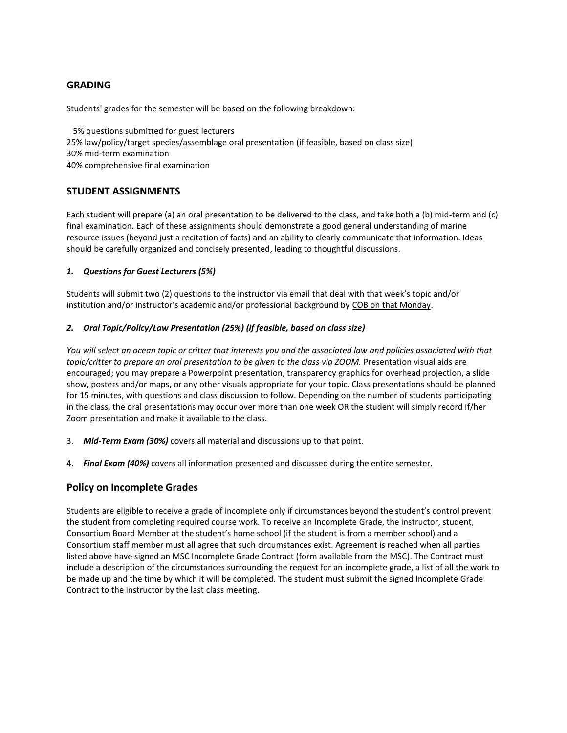## **GRADING**

Students' grades for the semester will be based on the following breakdown:

 5% questions submitted for guest lecturers 25% law/policy/target species/assemblage oral presentation (if feasible, based on class size) 30% mid-term examination 40% comprehensive final examination

## **STUDENT ASSIGNMENTS**

Each student will prepare (a) an oral presentation to be delivered to the class, and take both a (b) mid-term and (c) final examination. Each of these assignments should demonstrate a good general understanding of marine resource issues (beyond just a recitation of facts) and an ability to clearly communicate that information. Ideas should be carefully organized and concisely presented, leading to thoughtful discussions.

#### *1. Questions for Guest Lecturers (5%)*

Students will submit two (2) questions to the instructor via email that deal with that week's topic and/or institution and/or instructor's academic and/or professional background by COB on that Monday.

#### *2. Oral Topic/Policy/Law Presentation (25%) (if feasible, based on class size)*

*You will select an ocean topic or critter that interests you and the associated law and policies associated with that topic/critter to prepare an oral presentation to be given to the class via ZOOM.* Presentation visual aids are encouraged; you may prepare a Powerpoint presentation, transparency graphics for overhead projection, a slide show, posters and/or maps, or any other visuals appropriate for your topic. Class presentations should be planned for 15 minutes, with questions and class discussion to follow. Depending on the number of students participating in the class, the oral presentations may occur over more than one week OR the student will simply record if/her Zoom presentation and make it available to the class.

- 3. *Mid-Term Exam (30%)* covers all material and discussions up to that point.
- 4. *Final Exam (40%)* covers all information presented and discussed during the entire semester.

## **Policy on Incomplete Grades**

Students are eligible to receive a grade of incomplete only if circumstances beyond the student's control prevent the student from completing required course work. To receive an Incomplete Grade, the instructor, student, Consortium Board Member at the student's home school (if the student is from a member school) and a Consortium staff member must all agree that such circumstances exist. Agreement is reached when all parties listed above have signed an MSC Incomplete Grade Contract (form available from the MSC). The Contract must include a description of the circumstances surrounding the request for an incomplete grade, a list of all the work to be made up and the time by which it will be completed. The student must submit the signed Incomplete Grade Contract to the instructor by the last class meeting.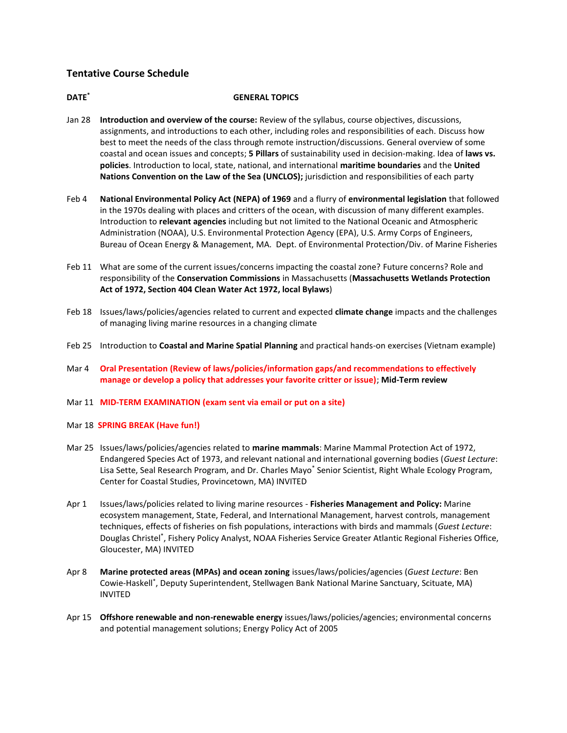## **Tentative Course Schedule**

#### **DATE\* GENERAL TOPICS**

- Jan 28 **Introduction and overview of the course:** Review of the syllabus, course objectives, discussions, assignments, and introductions to each other, including roles and responsibilities of each. Discuss how best to meet the needs of the class through remote instruction/discussions. General overview of some coastal and ocean issues and concepts; **5 Pillars** of sustainability used in decision-making. Idea of **laws vs. policies**. Introduction to local, state, national, and international **maritime boundaries** and the **United Nations Convention on the Law of the Sea (UNCLOS);** jurisdiction and responsibilities of each party
- Feb 4 **National Environmental Policy Act (NEPA) of 1969** and a flurry of **environmental legislation** that followed in the 1970s dealing with places and critters of the ocean, with discussion of many different examples. Introduction to **relevant agencies** including but not limited to the National Oceanic and Atmospheric Administration (NOAA), U.S. Environmental Protection Agency (EPA), U.S. Army Corps of Engineers, Bureau of Ocean Energy & Management, MA. Dept. of Environmental Protection/Div. of Marine Fisheries
- Feb 11 What are some of the current issues/concerns impacting the coastal zone? Future concerns? Role and responsibility of the **Conservation Commissions** in Massachusetts (**Massachusetts Wetlands Protection Act of 1972, Section 404 Clean Water Act 1972, local Bylaws**)
- Feb 18 Issues/laws/policies/agencies related to current and expected **climate change** impacts and the challenges of managing living marine resources in a changing climate
- Feb 25 Introduction to **Coastal and Marine Spatial Planning** and practical hands-on exercises (Vietnam example)
- Mar 4 **Oral Presentation (Review of laws/policies/information gaps/and recommendations to effectively manage or develop a policy that addresses your favorite critter or issue)**; **Mid-Term review**
- Mar 11 **MID-TERM EXAMINATION (exam sent via email or put on a site)**
- Mar 18 **SPRING BREAK (Have fun!)**
- Mar 25 Issues/laws/policies/agencies related to **marine mammals**: Marine Mammal Protection Act of 1972, Endangered Species Act of 1973, and relevant national and international governing bodies (*Guest Lecture*: Lisa Sette, Seal Research Program, and Dr. Charles Mayo\* Senior Scientist, Right Whale Ecology Program, Center for Coastal Studies, Provincetown, MA) INVITED
- Apr 1 Issues/laws/policies related to living marine resources **Fisheries Management and Policy:** Marine ecosystem management, State, Federal, and International Management, harvest controls, management techniques, effects of fisheries on fish populations, interactions with birds and mammals (*Guest Lecture*: Douglas Christel<sup>\*</sup>, Fishery Policy Analyst, NOAA Fisheries Service Greater Atlantic Regional Fisheries Office, Gloucester, MA) INVITED
- Apr 8 **Marine protected areas (MPAs) and ocean zoning** issues/laws/policies/agencies (*Guest Lecture*: Ben Cowie-Haskell\* , Deputy Superintendent, Stellwagen Bank National Marine Sanctuary, Scituate, MA) INVITED
- Apr 15 **Offshore renewable and non-renewable energy** issues/laws/policies/agencies; environmental concerns and potential management solutions; Energy Policy Act of 2005